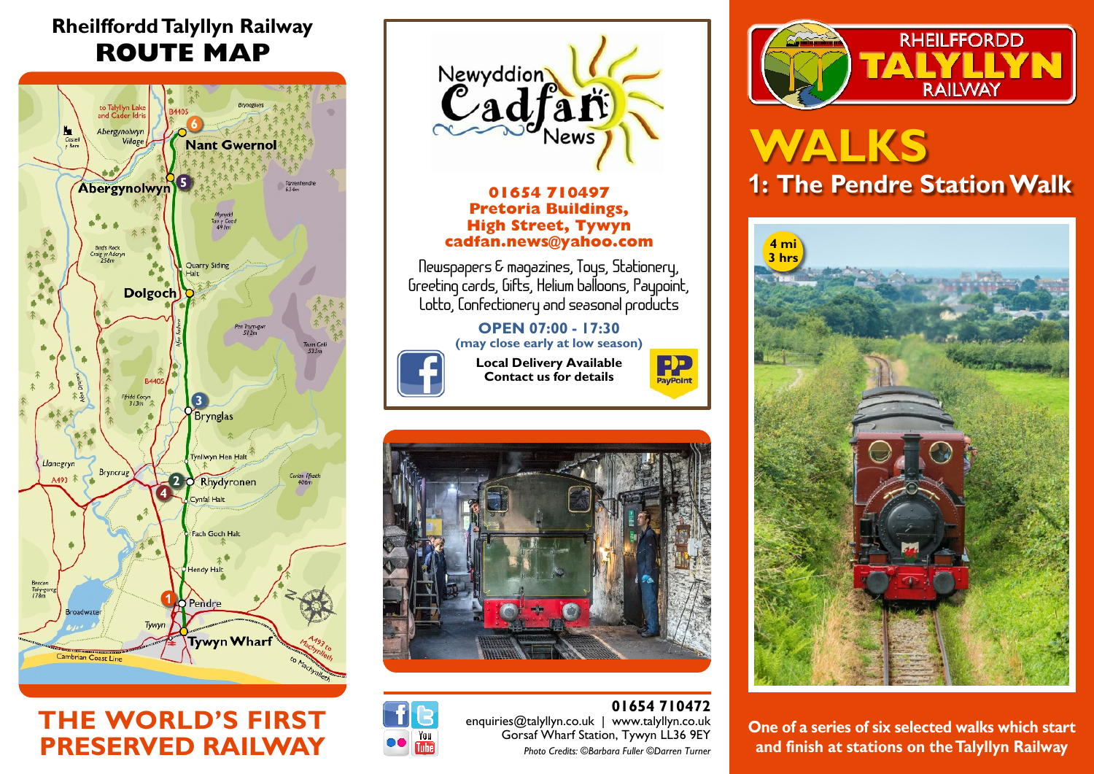## **Rheilffordd Talyllyn Railway ROUTE MAP**



## **THE WORLD'S FIRST PRESERVED RAILWAY**



**01654 710497 Pretoria Buildings, High Street, Tywyn cadfan.news@yahoo.com**

**Newspapers & magazines, Toys, Stationery, Greeting cards, Gifts, Helium balloons, Paypoint, Lotto, Confectionery and seasonal products**

### **OPEN 07:00 - 17:30 (may close early at low season)**



**Local Delivery Available Contact us for details**







**01654 710472** enquiries@talyllyn.co.uk | www.talyllyn.co.uk Gorsaf Wharf Station, Tywyn LL36 9EY *Photo Credits: ©Barbara Fuller ©Darren Turner*



# **WALKS 1: The Pendre Station Walk**



**One of a series of six selected walks which start and finish at stations on the Talyllyn Railway**